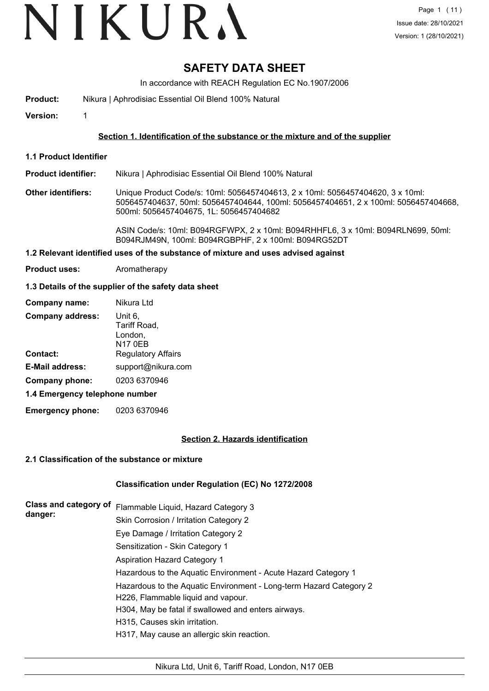# VIKURA

### **SAFETY DATA SHEET**

In accordance with REACH Regulation EC No.1907/2006

- **Product:** Nikura | Aphrodisiac Essential Oil Blend 100% Natural
- **Version:** 1

#### **Section 1. Identification of the substance or the mixture and of the supplier**

**1.1 Product Identifier**

**Product identifier:** Nikura | Aphrodisiac Essential Oil Blend 100% Natural

**Other identifiers:** Unique Product Code/s: 10ml: 5056457404613, 2 x 10ml: 5056457404620, 3 x 10ml: 5056457404637, 50ml: 5056457404644, 100ml: 5056457404651, 2 x 100ml: 5056457404668, 500ml: 5056457404675, 1L: 5056457404682

> ASIN Code/s: 10ml: B094RGFWPX, 2 x 10ml: B094RHHFL6, 3 x 10ml: B094RLN699, 50ml: B094RJM49N, 100ml: B094RGBPHF, 2 x 100ml: B094RG52DT

#### **1.2 Relevant identified uses of the substance of mixture and uses advised against**

**Product uses:** Aromatherapy

#### **1.3 Details of the supplier of the safety data sheet**

| Company name:                  | Nikura Ltd                                           |
|--------------------------------|------------------------------------------------------|
| <b>Company address:</b>        | Unit 6,<br>Tariff Road,<br>London,<br><b>N17 0EB</b> |
| <b>Contact:</b>                | <b>Regulatory Affairs</b>                            |
| <b>E-Mail address:</b>         | support@nikura.com                                   |
| Company phone:                 | 0203 6370946                                         |
| 1.4 Emergency telephone number |                                                      |

**Emergency phone:** 0203 6370946

#### **Section 2. Hazards identification**

#### **2.1 Classification of the substance or mixture**

#### **Classification under Regulation (EC) No 1272/2008**

| Class and category of<br>danger: | Flammable Liquid, Hazard Category 3                                |
|----------------------------------|--------------------------------------------------------------------|
|                                  | Skin Corrosion / Irritation Category 2                             |
|                                  | Eye Damage / Irritation Category 2                                 |
|                                  | Sensitization - Skin Category 1                                    |
|                                  | <b>Aspiration Hazard Category 1</b>                                |
|                                  | Hazardous to the Aquatic Environment - Acute Hazard Category 1     |
|                                  | Hazardous to the Aquatic Environment - Long-term Hazard Category 2 |
|                                  | H226, Flammable liquid and vapour.                                 |
|                                  | H304, May be fatal if swallowed and enters airways.                |
|                                  | H315, Causes skin irritation.                                      |
|                                  | H317, May cause an allergic skin reaction.                         |
|                                  |                                                                    |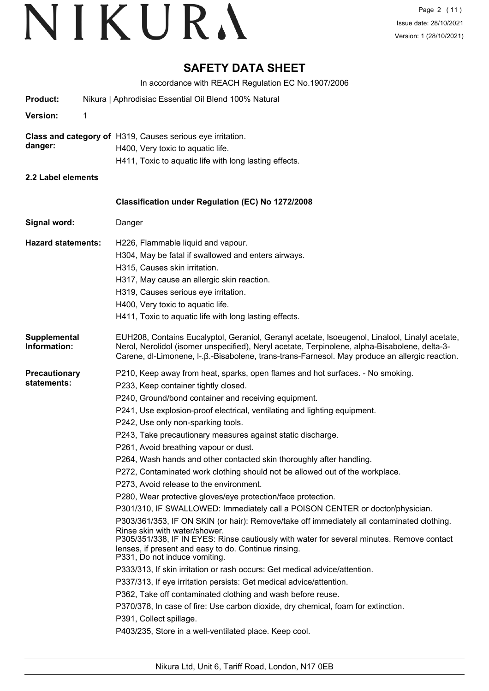### **SAFETY DATA SHEET**

In accordance with REACH Regulation EC No.1907/2006

|                                     | III accordance with NEACH Negulation EC NO. 1907/2000                                                                                                                                                                                                                                                                                                                                                                                                                                                                                                                                                                                                                                                                                                                                                                                                                                                                                                                                                                                                                                                                                                                                                                                                                                                                                                                                                                                                                            |
|-------------------------------------|----------------------------------------------------------------------------------------------------------------------------------------------------------------------------------------------------------------------------------------------------------------------------------------------------------------------------------------------------------------------------------------------------------------------------------------------------------------------------------------------------------------------------------------------------------------------------------------------------------------------------------------------------------------------------------------------------------------------------------------------------------------------------------------------------------------------------------------------------------------------------------------------------------------------------------------------------------------------------------------------------------------------------------------------------------------------------------------------------------------------------------------------------------------------------------------------------------------------------------------------------------------------------------------------------------------------------------------------------------------------------------------------------------------------------------------------------------------------------------|
| <b>Product:</b>                     | Nikura   Aphrodisiac Essential Oil Blend 100% Natural                                                                                                                                                                                                                                                                                                                                                                                                                                                                                                                                                                                                                                                                                                                                                                                                                                                                                                                                                                                                                                                                                                                                                                                                                                                                                                                                                                                                                            |
| <b>Version:</b>                     | 1                                                                                                                                                                                                                                                                                                                                                                                                                                                                                                                                                                                                                                                                                                                                                                                                                                                                                                                                                                                                                                                                                                                                                                                                                                                                                                                                                                                                                                                                                |
| danger:                             | Class and category of H319, Causes serious eye irritation.<br>H400, Very toxic to aquatic life.<br>H411, Toxic to aquatic life with long lasting effects.                                                                                                                                                                                                                                                                                                                                                                                                                                                                                                                                                                                                                                                                                                                                                                                                                                                                                                                                                                                                                                                                                                                                                                                                                                                                                                                        |
| 2.2 Label elements                  |                                                                                                                                                                                                                                                                                                                                                                                                                                                                                                                                                                                                                                                                                                                                                                                                                                                                                                                                                                                                                                                                                                                                                                                                                                                                                                                                                                                                                                                                                  |
|                                     | <b>Classification under Regulation (EC) No 1272/2008</b>                                                                                                                                                                                                                                                                                                                                                                                                                                                                                                                                                                                                                                                                                                                                                                                                                                                                                                                                                                                                                                                                                                                                                                                                                                                                                                                                                                                                                         |
| Signal word:                        | Danger                                                                                                                                                                                                                                                                                                                                                                                                                                                                                                                                                                                                                                                                                                                                                                                                                                                                                                                                                                                                                                                                                                                                                                                                                                                                                                                                                                                                                                                                           |
| <b>Hazard statements:</b>           | H226, Flammable liquid and vapour.<br>H304, May be fatal if swallowed and enters airways.<br>H315, Causes skin irritation.<br>H317, May cause an allergic skin reaction.<br>H319, Causes serious eye irritation.<br>H400, Very toxic to aquatic life.<br>H411, Toxic to aquatic life with long lasting effects.                                                                                                                                                                                                                                                                                                                                                                                                                                                                                                                                                                                                                                                                                                                                                                                                                                                                                                                                                                                                                                                                                                                                                                  |
| Supplemental<br>Information:        | EUH208, Contains Eucalyptol, Geraniol, Geranyl acetate, Isoeugenol, Linalool, Linalyl acetate,<br>Nerol, Nerolidol (isomer unspecified), Neryl acetate, Terpinolene, alpha-Bisabolene, delta-3-<br>Carene, dl-Limonene, I-. B.-Bisabolene, trans-trans-Farnesol. May produce an allergic reaction.                                                                                                                                                                                                                                                                                                                                                                                                                                                                                                                                                                                                                                                                                                                                                                                                                                                                                                                                                                                                                                                                                                                                                                               |
| <b>Precautionary</b><br>statements: | P210, Keep away from heat, sparks, open flames and hot surfaces. - No smoking.<br>P233, Keep container tightly closed.<br>P240, Ground/bond container and receiving equipment.<br>P241, Use explosion-proof electrical, ventilating and lighting equipment.<br>P242, Use only non-sparking tools.<br>P243, Take precautionary measures against static discharge.<br>P261, Avoid breathing vapour or dust.<br>P264, Wash hands and other contacted skin thoroughly after handling.<br>P272, Contaminated work clothing should not be allowed out of the workplace.<br>P273, Avoid release to the environment.<br>P280, Wear protective gloves/eye protection/face protection.<br>P301/310, IF SWALLOWED: Immediately call a POISON CENTER or doctor/physician.<br>P303/361/353, IF ON SKIN (or hair): Remove/take off immediately all contaminated clothing.<br>Rinse skin with water/shower.<br>P305/351/338, IF IN EYES: Rinse cautiously with water for several minutes. Remove contact<br>lenses, if present and easy to do. Continue rinsing.<br>P331, Do not induce vomiting.<br>P333/313, If skin irritation or rash occurs: Get medical advice/attention.<br>P337/313, If eye irritation persists: Get medical advice/attention.<br>P362, Take off contaminated clothing and wash before reuse.<br>P370/378, In case of fire: Use carbon dioxide, dry chemical, foam for extinction.<br>P391, Collect spillage.<br>P403/235, Store in a well-ventilated place. Keep cool. |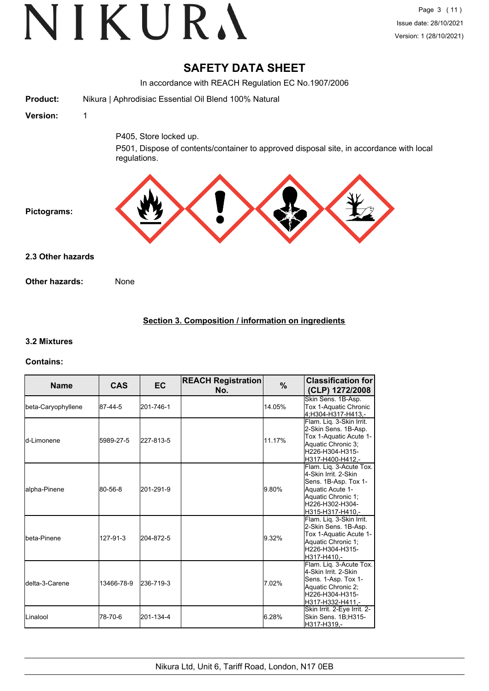### **SAFETY DATA SHEET**

In accordance with REACH Regulation EC No.1907/2006 **Product:** Nikura | Aphrodisiac Essential Oil Blend 100% Natural **Version:** 1 P405, Store locked up. P501, Dispose of contents/container to approved disposal site, in accordance with local regulations. **Pictograms: Other hazards:** None **2.3 Other hazards**

#### **Section 3. Composition / information on ingredients**

#### **3.2 Mixtures**

#### **Contains:**

| <b>Name</b>             | <b>CAS</b> | EC        | <b>REACH Registration</b><br>No. | $\%$   | <b>Classification for</b><br>(CLP) 1272/2008                                                                                                             |
|-------------------------|------------|-----------|----------------------------------|--------|----------------------------------------------------------------------------------------------------------------------------------------------------------|
| beta-Caryophyllene      | 87-44-5    | 201-746-1 |                                  | 14.05% | Skin Sens. 1B-Asp.<br>Tox 1-Aquatic Chronic<br>4;H304-H317-H413,-                                                                                        |
| ld-Limonene             | 5989-27-5  | 227-813-5 |                                  | 11.17% | Flam. Lig. 3-Skin Irrit.<br>2-Skin Sens. 1B-Asp.<br>Tox 1-Aquatic Acute 1-<br>Aquatic Chronic 3:<br>H226-H304-H315-<br>lH317-H400-H412.-                 |
| lalpha-Pinene           | 80-56-8    | 201-291-9 |                                  | 9.80%  | Flam. Liq. 3-Acute Tox.<br>4-Skin Irrit, 2-Skin<br>Sens. 1B-Asp. Tox 1-<br>Aquatic Acute 1-<br>Aquatic Chronic 1;<br>H226-H302-H304-<br>H315-H317-H410,- |
| Ibeta-Pinene            | 127-91-3   | 204-872-5 |                                  | 9.32%  | Flam. Liq. 3-Skin Irrit.<br>2-Skin Sens. 1B-Asp.<br>Tox 1-Aquatic Acute 1-<br>Aquatic Chronic 1;<br>H226-H304-H315-<br>H317-H410.-                       |
| <b>I</b> delta-3-Carene | 13466-78-9 | 236-719-3 |                                  | 7.02%  | Flam. Liq. 3-Acute Tox.<br>4-Skin Irrit, 2-Skin<br>Sens. 1-Asp. Tox 1-<br>Aquatic Chronic 2;<br>H226-H304-H315-<br>H317-H332-H411.-                      |
| ILinalool               | 78-70-6    | 201-134-4 |                                  | 6.28%  | Skin Irrit. 2-Eye Irrit. 2-<br>Skin Sens. 1B;H315-<br>H317-H319.-                                                                                        |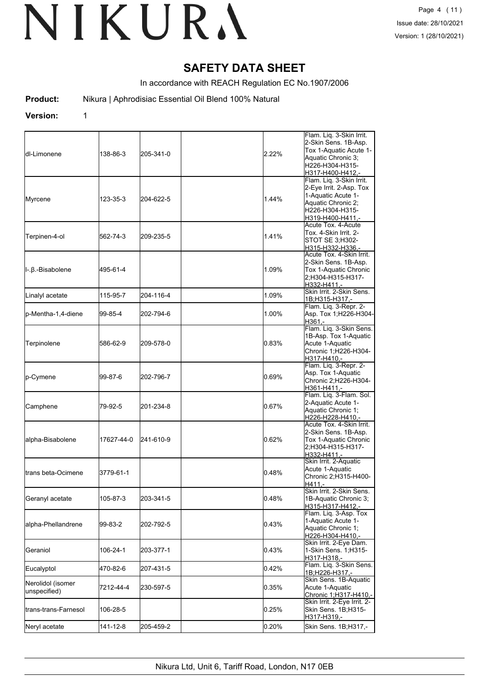### **SAFETY DATA SHEET**

In accordance with REACH Regulation EC No.1907/2006

**Product:** Nikura | Aphrodisiac Essential Oil Blend 100% Natural

#### **Version:** 1

| ldl-Limonene                      | 138-86-3   | 205-341-0 | 2.22% | Flam. Liq. 3-Skin Irrit.<br>2-Skin Sens. 1B-Asp.<br>Tox 1-Aquatic Acute 1-<br>Aquatic Chronic 3:<br>H226-H304-H315-<br>H317-H400-H412.- |
|-----------------------------------|------------|-----------|-------|-----------------------------------------------------------------------------------------------------------------------------------------|
| Myrcene                           | 123-35-3   | 204-622-5 | 1.44% | Flam. Liq. 3-Skin Irrit.<br>2-Eye Irrit. 2-Asp. Tox<br>1-Aquatic Acute 1-<br>Aquatic Chronic 2;<br>H226-H304-H315-<br>H319-H400-H411,-  |
| Terpinen-4-ol                     | 562-74-3   | 209-235-5 | 1.41% | Acute Tox. 4-Acute<br>Tox. 4-Skin Irrit. 2-<br>STOT SE 3;H302-<br>H315-H332-H336,-                                                      |
| l-.β.-Bisabolene                  | 495-61-4   |           | 1.09% | Acute Tox. 4-Skin Irrit.<br>2-Skin Sens. 1B-Asp.<br>Tox 1-Aquatic Chronic<br>2:H304-H315-H317-<br>H332-H411,-                           |
| Linalyl acetate                   | 115-95-7   | 204-116-4 | 1.09% | Skin Irrit, 2-Skin Sens.<br>1B;H315-H317,-                                                                                              |
| p-Mentha-1,4-diene                | 99-85-4    | 202-794-6 | 1.00% | Flam. Liq. 3-Repr. 2-<br>Asp. Tox 1;H226-H304-<br>H361,-                                                                                |
| Terpinolene                       | 586-62-9   | 209-578-0 | 0.83% | Flam. Lig. 3-Skin Sens.<br>1B-Asp. Tox 1-Aquatic<br>Acute 1-Aquatic<br>Chronic 1;H226-H304-<br>H317-H410,-                              |
| p-Cymene                          | 99-87-6    | 202-796-7 | 0.69% | Flam. Liq. 3-Repr. 2-<br>Asp. Tox 1-Aquatic<br>Chronic 2;H226-H304-<br>H361-H411,-                                                      |
| Camphene                          | 79-92-5    | 201-234-8 | 0.67% | Flam. Liq. 3-Flam. Sol.<br>2-Aquatic Acute 1-<br>Aquatic Chronic 1;<br>H226-H228-H410,-                                                 |
| alpha-Bisabolene                  | 17627-44-0 | 241-610-9 | 0.62% | Acute Tox. 4-Skin Irrit.<br>2-Skin Sens. 1B-Asp.<br>Tox 1-Aquatic Chronic<br>2;H304-H315-H317-<br>H332-H411,-                           |
| <b>I</b> trans beta-Ocimene       | 3779-61-1  |           | 0.48% | Skin Irrit. 2-Aquatic<br>Acute 1-Aquatic<br>Chronic 2;H315-H400-<br>$H411. -$                                                           |
| Geranyl acetate                   | 105-87-3   | 203-341-5 | 0.48% | Skin Irrit. 2-Skin Sens.<br>1B-Aquatic Chronic 3;<br>H315-H317-H412,-                                                                   |
| alpha-Phellandrene                | 99-83-2    | 202-792-5 | 0.43% | Flam. Liq. 3-Asp. Tox<br>1-Aquatic Acute 1-<br>Aquatic Chronic 1;<br>H226-H304-H410,-                                                   |
| Geraniol                          | 106-24-1   | 203-377-1 | 0.43% | Skin Irrit. 2-Eye Dam.<br>1-Skin Sens. 1; H315-<br>H317-H318,-                                                                          |
| Eucalyptol                        | 470-82-6   | 207-431-5 | 0.42% | Flam. Liq. 3-Skin Sens.<br>1B;H226-H317,-                                                                                               |
| Nerolidol (isomer<br>unspecified) | 7212-44-4  | 230-597-5 | 0.35% | Skin Sens. 1B-Aquatic<br>Acute 1-Aquatic<br>Chronic 1;H317-H410,-                                                                       |
| trans-trans-Farnesol              | 106-28-5   |           | 0.25% | Skin Irrit. 2-Eye Irrit. 2-<br>Skin Sens. 1B;H315-<br>H317-H319,-                                                                       |
| Neryl acetate                     | 141-12-8   | 205-459-2 | 0.20% | Skin Sens. 1B;H317,-                                                                                                                    |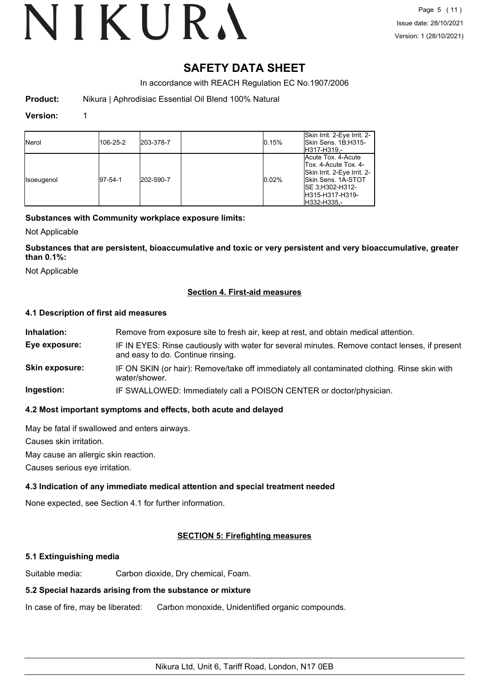### **SAFETY DATA SHEET**

In accordance with REACH Regulation EC No.1907/2006

**Product:** Nikura | Aphrodisiac Essential Oil Blend 100% Natural

#### **Version:** 1

| <b>Nerol</b>      | 106-25-2    | 203-378-7 | 0.15% | Skin Irrit. 2-Eye Irrit. 2-<br>Skin Sens. 1B:H315-<br>H317-H319.-                                                                                       |
|-------------------|-------------|-----------|-------|---------------------------------------------------------------------------------------------------------------------------------------------------------|
| <b>Isoeugenol</b> | $ 97-54-1 $ | 202-590-7 | 0.02% | Acute Tox. 4-Acute<br>Tox. 4-Acute Tox. 4-<br>Skin Irrit. 2-Eye Irrit. 2-<br>Skin Sens. 1A-STOT<br>ISE 3:H302-H312-<br>IH315-H317-H319-<br>IH332-H335.- |

#### **Substances with Community workplace exposure limits:**

Not Applicable

**Substances that are persistent, bioaccumulative and toxic or very persistent and very bioaccumulative, greater than 0.1%:**

Not Applicable

#### **Section 4. First-aid measures**

#### **4.1 Description of first aid measures**

| Inhalation:           | Remove from exposure site to fresh air, keep at rest, and obtain medical attention.                                                 |
|-----------------------|-------------------------------------------------------------------------------------------------------------------------------------|
| Eye exposure:         | IF IN EYES: Rinse cautiously with water for several minutes. Remove contact lenses, if present<br>and easy to do. Continue rinsing. |
| <b>Skin exposure:</b> | IF ON SKIN (or hair): Remove/take off immediately all contaminated clothing. Rinse skin with<br>water/shower.                       |
| Ingestion:            | IF SWALLOWED: Immediately call a POISON CENTER or doctor/physician.                                                                 |
|                       |                                                                                                                                     |

#### **4.2 Most important symptoms and effects, both acute and delayed**

May be fatal if swallowed and enters airways.

Causes skin irritation.

May cause an allergic skin reaction.

Causes serious eye irritation.

#### **4.3 Indication of any immediate medical attention and special treatment needed**

None expected, see Section 4.1 for further information.

#### **SECTION 5: Firefighting measures**

#### **5.1 Extinguishing media**

Suitable media: Carbon dioxide, Dry chemical, Foam.

#### **5.2 Special hazards arising from the substance or mixture**

In case of fire, may be liberated: Carbon monoxide, Unidentified organic compounds.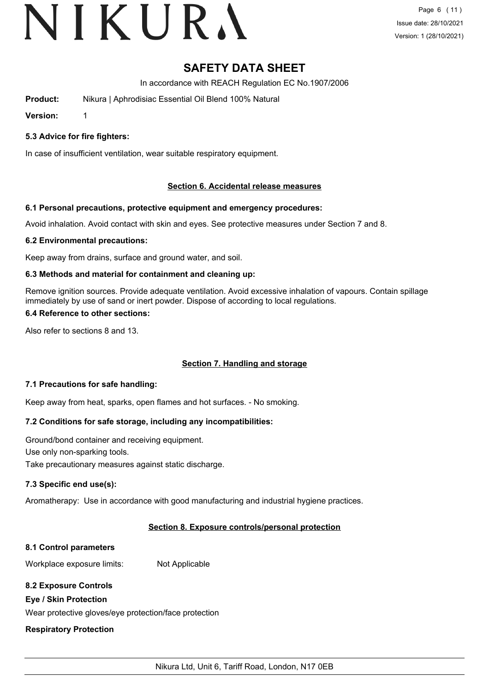# VIKURA

### **SAFETY DATA SHEET**

In accordance with REACH Regulation EC No.1907/2006

**Product:** Nikura | Aphrodisiac Essential Oil Blend 100% Natural

**Version:** 1

#### **5.3 Advice for fire fighters:**

In case of insufficient ventilation, wear suitable respiratory equipment.

#### **Section 6. Accidental release measures**

#### **6.1 Personal precautions, protective equipment and emergency procedures:**

Avoid inhalation. Avoid contact with skin and eyes. See protective measures under Section 7 and 8.

#### **6.2 Environmental precautions:**

Keep away from drains, surface and ground water, and soil.

#### **6.3 Methods and material for containment and cleaning up:**

Remove ignition sources. Provide adequate ventilation. Avoid excessive inhalation of vapours. Contain spillage immediately by use of sand or inert powder. Dispose of according to local regulations.

#### **6.4 Reference to other sections:**

Also refer to sections 8 and 13.

#### **Section 7. Handling and storage**

#### **7.1 Precautions for safe handling:**

Keep away from heat, sparks, open flames and hot surfaces. - No smoking.

#### **7.2 Conditions for safe storage, including any incompatibilities:**

Ground/bond container and receiving equipment. Use only non-sparking tools. Take precautionary measures against static discharge.

#### **7.3 Specific end use(s):**

Aromatherapy: Use in accordance with good manufacturing and industrial hygiene practices.

#### **Section 8. Exposure controls/personal protection**

#### **8.1 Control parameters**

Workplace exposure limits: Not Applicable

#### **8.2 Exposure Controls**

#### **Eye / Skin Protection**

Wear protective gloves/eye protection/face protection

#### **Respiratory Protection**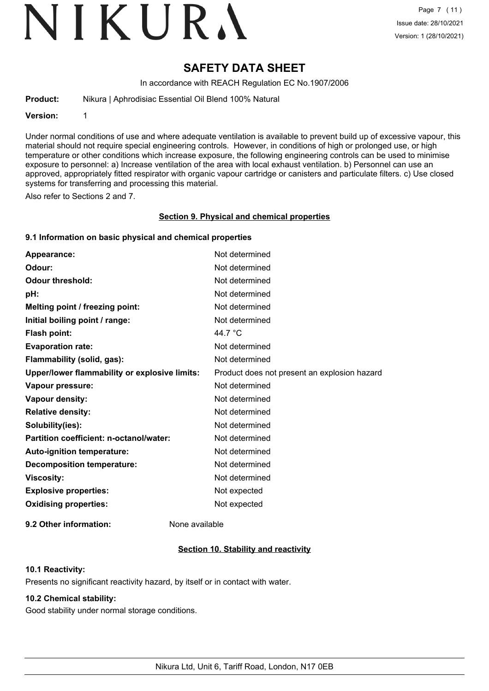# VIKURA

### **SAFETY DATA SHEET**

In accordance with REACH Regulation EC No.1907/2006

**Product:** Nikura | Aphrodisiac Essential Oil Blend 100% Natural

**Version:** 1

Under normal conditions of use and where adequate ventilation is available to prevent build up of excessive vapour, this material should not require special engineering controls. However, in conditions of high or prolonged use, or high temperature or other conditions which increase exposure, the following engineering controls can be used to minimise exposure to personnel: a) Increase ventilation of the area with local exhaust ventilation. b) Personnel can use an approved, appropriately fitted respirator with organic vapour cartridge or canisters and particulate filters. c) Use closed systems for transferring and processing this material.

Also refer to Sections 2 and 7.

#### **Section 9. Physical and chemical properties**

#### **9.1 Information on basic physical and chemical properties**

| Appearance:                                   | Not determined                               |
|-----------------------------------------------|----------------------------------------------|
| Odour:                                        | Not determined                               |
| <b>Odour threshold:</b>                       | Not determined                               |
| pH:                                           | Not determined                               |
| Melting point / freezing point:               | Not determined                               |
| Initial boiling point / range:                | Not determined                               |
| <b>Flash point:</b>                           | 44.7 °C                                      |
| <b>Evaporation rate:</b>                      | Not determined                               |
| Flammability (solid, gas):                    | Not determined                               |
| Upper/lower flammability or explosive limits: | Product does not present an explosion hazard |
| Vapour pressure:                              | Not determined                               |
| Vapour density:                               | Not determined                               |
| <b>Relative density:</b>                      | Not determined                               |
| Solubility(ies):                              | Not determined                               |
| Partition coefficient: n-octanol/water:       | Not determined                               |
| Auto-ignition temperature:                    | Not determined                               |
| <b>Decomposition temperature:</b>             | Not determined                               |
| <b>Viscosity:</b>                             | Not determined                               |
| <b>Explosive properties:</b>                  | Not expected                                 |
| <b>Oxidising properties:</b>                  | Not expected                                 |
|                                               |                                              |

**9.2 Other information:** None available

#### **Section 10. Stability and reactivity**

#### **10.1 Reactivity:**

Presents no significant reactivity hazard, by itself or in contact with water.

#### **10.2 Chemical stability:**

Good stability under normal storage conditions.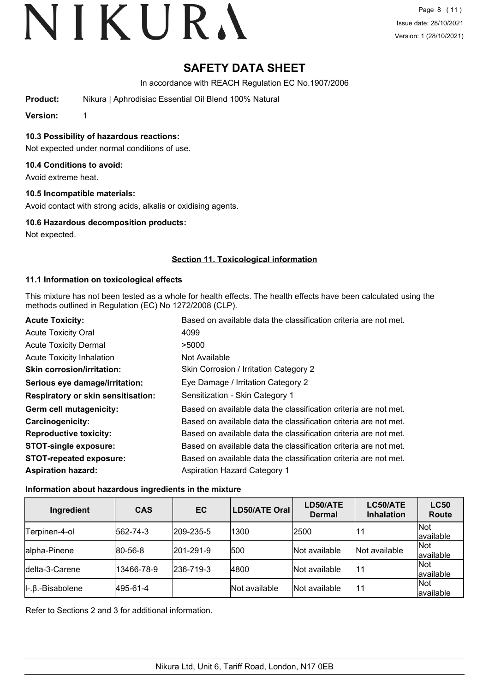## **SAFETY DATA SHEET**

In accordance with REACH Regulation EC No.1907/2006

**Product:** Nikura | Aphrodisiac Essential Oil Blend 100% Natural

**Version:** 1

**10.3 Possibility of hazardous reactions:**

Not expected under normal conditions of use.

#### **10.4 Conditions to avoid:**

Avoid extreme heat.

#### **10.5 Incompatible materials:**

Avoid contact with strong acids, alkalis or oxidising agents.

#### **10.6 Hazardous decomposition products:**

Not expected.

#### **Section 11. Toxicological information**

#### **11.1 Information on toxicological effects**

This mixture has not been tested as a whole for health effects. The health effects have been calculated using the methods outlined in Regulation (EC) No 1272/2008 (CLP).

| <b>Acute Toxicity:</b>                    | Based on available data the classification criteria are not met. |
|-------------------------------------------|------------------------------------------------------------------|
| <b>Acute Toxicity Oral</b>                | 4099                                                             |
| <b>Acute Toxicity Dermal</b>              | >5000                                                            |
| <b>Acute Toxicity Inhalation</b>          | Not Available                                                    |
| <b>Skin corrosion/irritation:</b>         | Skin Corrosion / Irritation Category 2                           |
| Serious eye damage/irritation:            | Eye Damage / Irritation Category 2                               |
| <b>Respiratory or skin sensitisation:</b> | Sensitization - Skin Category 1                                  |
| Germ cell mutagenicity:                   | Based on available data the classification criteria are not met. |
| <b>Carcinogenicity:</b>                   | Based on available data the classification criteria are not met. |
| <b>Reproductive toxicity:</b>             | Based on available data the classification criteria are not met. |
| <b>STOT-single exposure:</b>              | Based on available data the classification criteria are not met. |
| <b>STOT-repeated exposure:</b>            | Based on available data the classification criteria are not met. |
| <b>Aspiration hazard:</b>                 | <b>Aspiration Hazard Category 1</b>                              |

#### **Information about hazardous ingredients in the mixture**

| Ingredient                          | <b>CAS</b>      | EC                | <b>LD50/ATE Oral</b> | LD50/ATE<br><b>Dermal</b> | LC50/ATE<br><b>Inhalation</b> | <b>LC50</b><br>Route |
|-------------------------------------|-----------------|-------------------|----------------------|---------------------------|-------------------------------|----------------------|
| Terpinen-4-ol                       | 562-74-3        | $ 209 - 235 - 5 $ | 1300                 | 2500                      | 11                            | Not<br>available     |
| alpha-Pinene                        | $ 80 - 56 - 8 $ | $ 201 - 291 - 9 $ | 500                  | Not available             | Not available                 | Not<br>available     |
| Idelta-3-Carene                     | 13466-78-9      | $ 236 - 719 - 3 $ | 4800                 | Not available             | l11                           | Not<br>available     |
| $\parallel$ -. $\beta$ .-Bisabolene | 495-61-4        |                   | <b>Not available</b> | Not available             | '11                           | Not<br>available     |

Refer to Sections 2 and 3 for additional information.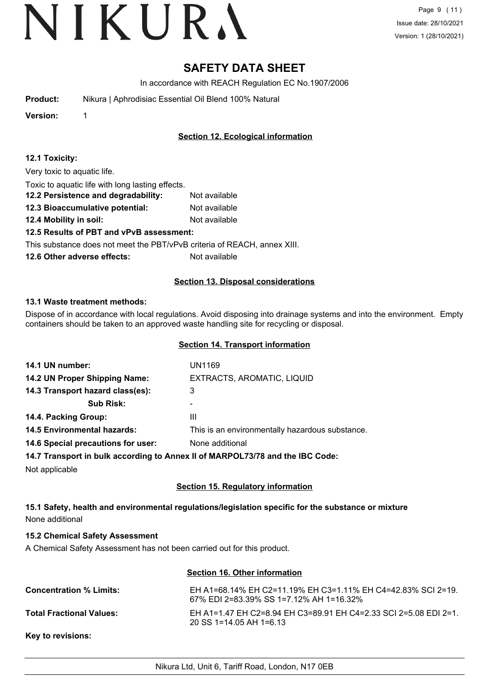### **SAFETY DATA SHEET**

In accordance with REACH Regulation EC No.1907/2006

| Product: |  | Nikura   Aphrodisiac Essential Oil Blend 100% Natural |  |
|----------|--|-------------------------------------------------------|--|
|----------|--|-------------------------------------------------------|--|

**Version:** 1

**Section 12. Ecological information**

| 12.1 Toxicity: |  |
|----------------|--|
|----------------|--|

Very toxic to aquatic life.

| Toxic to aquatic life with long lasting effects. |               |
|--------------------------------------------------|---------------|
| 12.2 Persistence and degradability:              | Not available |

**12.3 Bioaccumulative potential:** Not available

**12.4 Mobility in soil:** Not available

### **12.5 Results of PBT and vPvB assessment:**

This substance does not meet the PBT/vPvB criteria of REACH, annex XIII.

**12.6 Other adverse effects:** Not available

#### **Section 13. Disposal considerations**

#### **13.1 Waste treatment methods:**

Dispose of in accordance with local regulations. Avoid disposing into drainage systems and into the environment. Empty containers should be taken to an approved waste handling site for recycling or disposal.

#### **Section 14. Transport information**

| 14.1 UN number:                    | UN1169                                                                         |
|------------------------------------|--------------------------------------------------------------------------------|
| 14.2 UN Proper Shipping Name:      | EXTRACTS, AROMATIC, LIQUID                                                     |
| 14.3 Transport hazard class(es):   | 3                                                                              |
| <b>Sub Risk:</b>                   | ۰                                                                              |
| 14.4. Packing Group:               | Ш                                                                              |
| <b>14.5 Environmental hazards:</b> | This is an environmentally hazardous substance.                                |
| 14.6 Special precautions for user: | None additional                                                                |
|                                    | 117 Transport in bully assemblants, Anney II of MADDOI 72/70 and the IDC Cader |

**14.7 Transport in bulk according to Annex II of MARPOL73/78 and the IBC Code:**

Not applicable

#### **Section 15. Regulatory information**

**15.1 Safety, health and environmental regulations/legislation specific for the substance or mixture** None additional

#### **15.2 Chemical Safety Assessment**

A Chemical Safety Assessment has not been carried out for this product.

#### **Section 16. Other information**

| <b>Concentration % Limits:</b>  | EH A1=68.14% EH C2=11.19% EH C3=1.11% EH C4=42.83% SCI 2=19.<br>67% EDI 2=83.39% SS 1=7.12% AH 1=16.32% |
|---------------------------------|---------------------------------------------------------------------------------------------------------|
| <b>Total Fractional Values:</b> | EH A1=1.47 EH C2=8.94 EH C3=89.91 EH C4=2.33 SCI 2=5.08 EDI 2=1.<br>20 SS 1=14.05 AH 1=6.13             |

**Key to revisions:**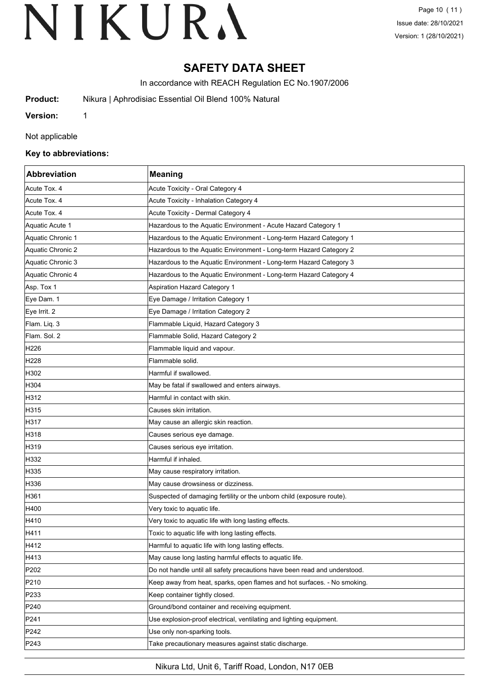### **SAFETY DATA SHEET**

In accordance with REACH Regulation EC No.1907/2006

**Product:** Nikura | Aphrodisiac Essential Oil Blend 100% Natural

**Version:** 1

Not applicable

#### **Key to abbreviations:**

| Abbreviation      | <b>Meaning</b>                                                            |
|-------------------|---------------------------------------------------------------------------|
| Acute Tox. 4      | Acute Toxicity - Oral Category 4                                          |
| Acute Tox. 4      | Acute Toxicity - Inhalation Category 4                                    |
| Acute Tox. 4      | Acute Toxicity - Dermal Category 4                                        |
| Aquatic Acute 1   | Hazardous to the Aquatic Environment - Acute Hazard Category 1            |
| Aquatic Chronic 1 | Hazardous to the Aquatic Environment - Long-term Hazard Category 1        |
| Aquatic Chronic 2 | Hazardous to the Aquatic Environment - Long-term Hazard Category 2        |
| Aquatic Chronic 3 | Hazardous to the Aquatic Environment - Long-term Hazard Category 3        |
| Aquatic Chronic 4 | Hazardous to the Aquatic Environment - Long-term Hazard Category 4        |
| Asp. Tox 1        | Aspiration Hazard Category 1                                              |
| Eye Dam. 1        | Eye Damage / Irritation Category 1                                        |
| Eye Irrit. 2      | Eye Damage / Irritation Category 2                                        |
| Flam. Liq. 3      | Flammable Liquid, Hazard Category 3                                       |
| Flam, Sol. 2      | Flammable Solid, Hazard Category 2                                        |
| H226              | Flammable liquid and vapour.                                              |
| H228              | Flammable solid.                                                          |
| H302              | Harmful if swallowed.                                                     |
| H304              | May be fatal if swallowed and enters airways.                             |
| H312              | Harmful in contact with skin.                                             |
| H315              | Causes skin irritation.                                                   |
| H317              | May cause an allergic skin reaction.                                      |
| H318              | Causes serious eye damage.                                                |
| H319              | Causes serious eye irritation.                                            |
| H332              | Harmful if inhaled.                                                       |
| H335              | May cause respiratory irritation.                                         |
| H336              | May cause drowsiness or dizziness.                                        |
| H361              | Suspected of damaging fertility or the unborn child (exposure route).     |
| H400              | Very toxic to aquatic life.                                               |
| H410              | Very toxic to aquatic life with long lasting effects.                     |
| H411              | Toxic to aquatic life with long lasting effects                           |
| H412              | Harmful to aquatic life with long lasting effects.                        |
| H413              | May cause long lasting harmful effects to aquatic life.                   |
| P202              | Do not handle until all safety precautions have been read and understood. |
| P210              | Keep away from heat, sparks, open flames and hot surfaces. - No smoking.  |
| P233              | Keep container tightly closed.                                            |
| P240              | Ground/bond container and receiving equipment.                            |
| P241              | Use explosion-proof electrical, ventilating and lighting equipment.       |
| P242              | Use only non-sparking tools.                                              |
| P243              | Take precautionary measures against static discharge.                     |

Nikura Ltd, Unit 6, Tariff Road, London, N17 0EB